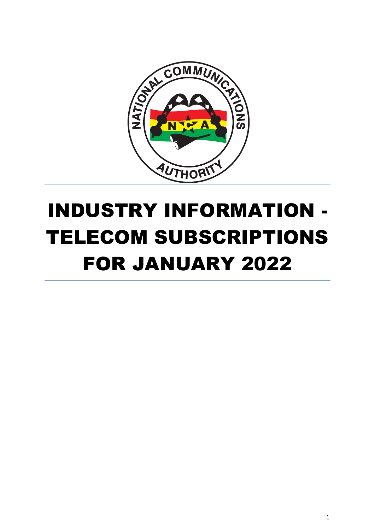

# INDUSTRY INFORMATION - TELECOM SUBSCRIPTIONS FOR JANUARY 2022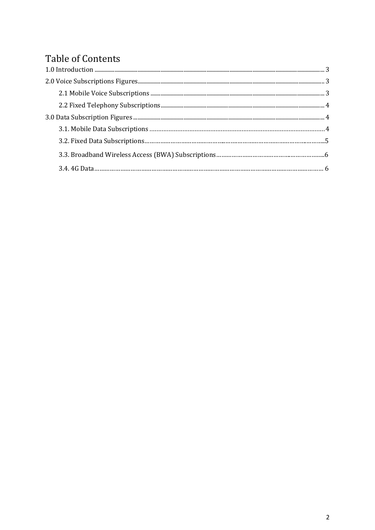# Table of Contents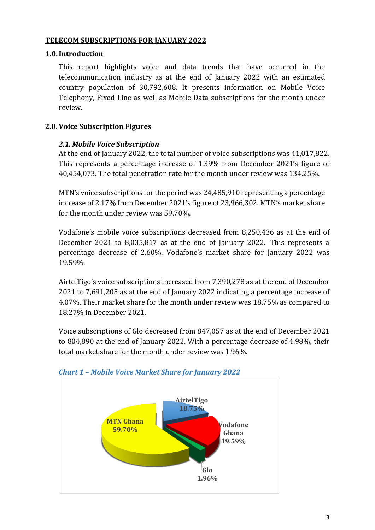#### **TELECOM SUBSCRIPTIONS FOR JANUARY 2022**

# <span id="page-2-0"></span>**1.0.Introduction**

This report highlights voice and data trends that have occurred in the telecommunication industry as at the end of January 2022 with an estimated country population of 30,792,608. It presents information on Mobile Voice Telephony, Fixed Line as well as Mobile Data subscriptions for the month under review.

# <span id="page-2-1"></span>**2.0. Voice Subscription Figures**

# *2.1. Mobile Voice Subscription*

At the end of January 2022, the total number of voice subscriptions was 41,017,822. This represents a percentage increase of 1.39% from December 2021's figure of 40,454,073. The total penetration rate for the month under review was 134.25%.

MTN's voice subscriptions for the period was 24,485,910 representing a percentage increase of 2.17% from December 2021's figure of 23,966,302. MTN's market share for the month under review was 59.70%.

Vodafone's mobile voice subscriptions decreased from 8,250,436 as at the end of December 2021 to 8,035,817 as at the end of January 2022. This represents a percentage decrease of 2.60%. Vodafone's market share for January 2022 was 19.59%.

AirtelTigo's voice subscriptions increased from 7,390,278 as at the end of December 2021 to 7,691,205 as at the end of January 2022 indicating a percentage increase of 4.07%. Their market share for the month under review was 18.75% as compared to 18.27% in December 2021.

Voice subscriptions of Glo decreased from 847,057 as at the end of December 2021 to 804,890 at the end of January 2022. With a percentage decrease of 4.98%, their total market share for the month under review was 1.96%.



# *Chart 1 – Mobile Voice Market Share for January 2022*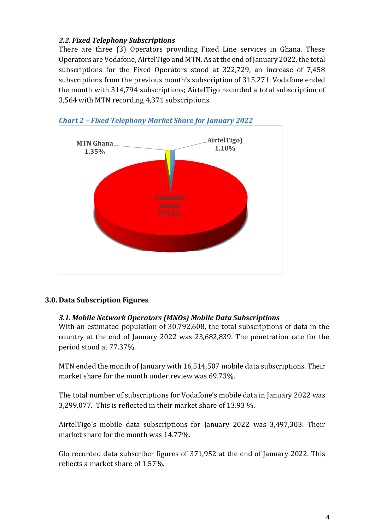#### <span id="page-3-0"></span>*2.2. Fixed Telephony Subscriptions*

There are three (3) Operators providing Fixed Line services in Ghana. These Operators are Vodafone, AirtelTigo and MTN. As at the end of January 2022, the total subscriptions for the Fixed Operators stood at 322,729, an increase of 7,458 subscriptions from the previous month's subscription of 315,271. Vodafone ended the month with 314,794 subscriptions; AirtelTigo recorded a total subscription of 3,564 with MTN recording 4,371 subscriptions.





#### <span id="page-3-1"></span>**3.0. Data Subscription Figures**

#### *3.1. Mobile Network Operators (MNOs) Mobile Data Subscriptions*

With an estimated population of 30,792,608, the total subscriptions of data in the country at the end of January 2022 was 23,682,839. The penetration rate for the period stood at 77.37%.

MTN ended the month of January with 16,514,507 mobile data subscriptions. Their market share for the month under review was 69.73%.

The total number of subscriptions for Vodafone's mobile data in January 2022 was 3,299,077. This is reflected in their market share of 13.93 %.

AirtelTigo's mobile data subscriptions for January 2022 was 3,497,303. Their market share for the month was 14.77%.

Glo recorded data subscriber figures of 371,952 at the end of January 2022. This reflects a market share of 1.57%.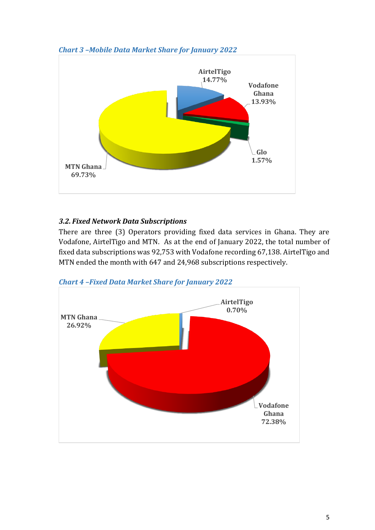

# *Chart 3 –Mobile Data Market Share for January 2022*

#### *3.2. Fixed Network Data Subscriptions*

There are three (3) Operators providing fixed data services in Ghana. They are Vodafone, AirtelTigo and MTN. As at the end of January 2022, the total number of fixed data subscriptions was 92,753 with Vodafone recording 67,138. AirtelTigo and MTN ended the month with 647 and 24,968 subscriptions respectively.



*Chart 4 –Fixed Data Market Share for January 2022*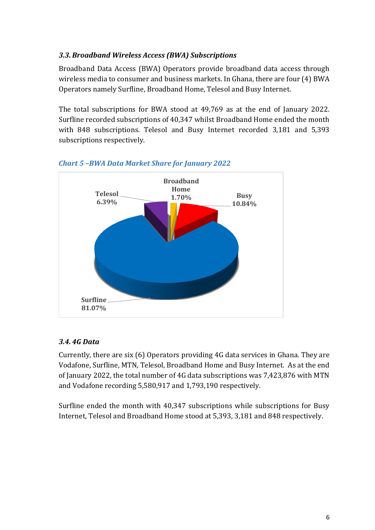# *3.3. Broadband Wireless Access (BWA) Subscriptions*

Broadband Data Access (BWA) Operators provide broadband data access through wireless media to consumer and business markets. In Ghana, there are four (4) BWA Operators namely Surfline, Broadband Home, Telesol and Busy Internet.

The total subscriptions for BWA stood at 49,769 as at the end of January 2022. Surfline recorded subscriptions of 40,347 whilst Broadband Home ended the month with 848 subscriptions. Telesol and Busy Internet recorded 3,181 and 5,393 subscriptions respectively.



# *Chart 5 –BWA Data Market Share for January 2022*

# *3.4. 4G Data*

Currently, there are six (6) Operators providing 4G data services in Ghana. They are Vodafone, Surfline, MTN, Telesol, Broadband Home and Busy Internet. As at the end of January 2022, the total number of 4G data subscriptions was 7,423,876 with MTN and Vodafone recording 5,580,917 and 1,793,190 respectively.

Surfline ended the month with 40,347 subscriptions while subscriptions for Busy Internet, Telesol and Broadband Home stood at 5,393, 3,181 and 848 respectively.